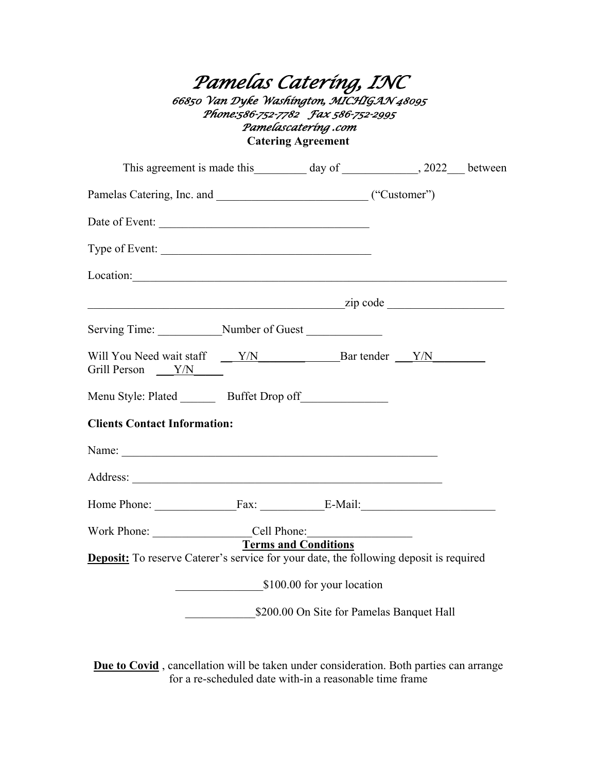## *Pamelas Catering, INC 66850 Van Dyke Washington, MICHIGAN 48095 Phone:586-752-7782 Fax 586-752-2995 Pamelascatering .com*  **Catering Agreement**

| Date of Event:                                                                                                                                                                                                                 |                                           |  |  |
|--------------------------------------------------------------------------------------------------------------------------------------------------------------------------------------------------------------------------------|-------------------------------------------|--|--|
| Type of Event:                                                                                                                                                                                                                 |                                           |  |  |
| Location:                                                                                                                                                                                                                      |                                           |  |  |
| $\frac{1}{\text{zip code}}$                                                                                                                                                                                                    |                                           |  |  |
| Serving Time: Number of Guest                                                                                                                                                                                                  |                                           |  |  |
| Grill Person $\sqrt{Y/N}$                                                                                                                                                                                                      |                                           |  |  |
| Menu Style: Plated _________ Buffet Drop off ________________                                                                                                                                                                  |                                           |  |  |
| <b>Clients Contact Information:</b>                                                                                                                                                                                            |                                           |  |  |
| Name: Name and the state of the state of the state of the state of the state of the state of the state of the state of the state of the state of the state of the state of the state of the state of the state of the state of |                                           |  |  |
|                                                                                                                                                                                                                                |                                           |  |  |
| Home Phone: Fax: E-Mail:                                                                                                                                                                                                       |                                           |  |  |
|                                                                                                                                                                                                                                | <b>Terms and Conditions</b>               |  |  |
| <b>Deposit:</b> To reserve Caterer's service for your date, the following deposit is required                                                                                                                                  |                                           |  |  |
|                                                                                                                                                                                                                                | \$100.00 for your location                |  |  |
|                                                                                                                                                                                                                                | \$200.00 On Site for Pamelas Banquet Hall |  |  |

**Due to Covid** , cancellation will be taken under consideration. Both parties can arrange for a re-scheduled date with-in a reasonable time frame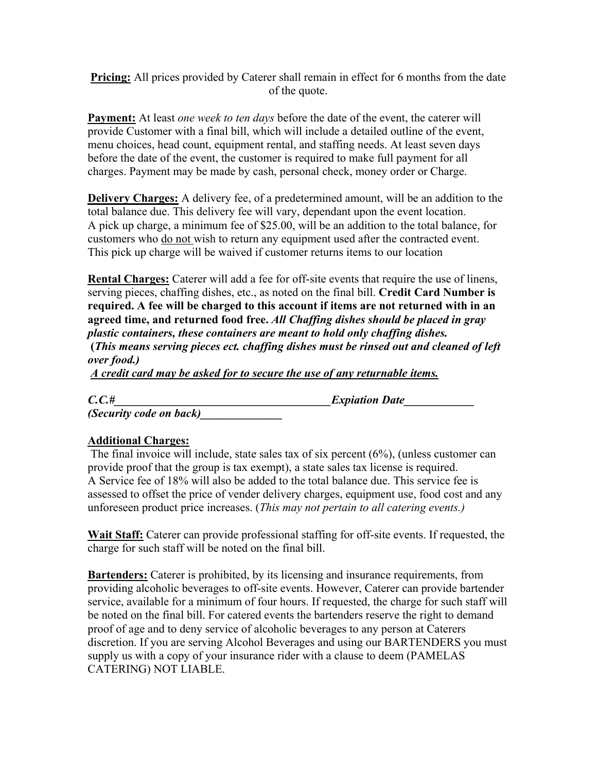**Pricing:** All prices provided by Caterer shall remain in effect for 6 months from the date of the quote.

**Payment:** At least *one week to ten days* before the date of the event, the caterer will provide Customer with a final bill, which will include a detailed outline of the event, menu choices, head count, equipment rental, and staffing needs. At least seven days before the date of the event, the customer is required to make full payment for all charges. Payment may be made by cash, personal check, money order or Charge.

**Delivery Charges:** A delivery fee, of a predetermined amount, will be an addition to the total balance due. This delivery fee will vary, dependant upon the event location. A pick up charge, a minimum fee of \$25.00, will be an addition to the total balance, for customers who do not wish to return any equipment used after the contracted event. This pick up charge will be waived if customer returns items to our location

**Rental Charges:** Caterer will add a fee for off-site events that require the use of linens, serving pieces, chaffing dishes, etc., as noted on the final bill. **Credit Card Number is required. A fee will be charged to this account if items are not returned with in an agreed time, and returned food free.** *All Chaffing dishes should be placed in gray plastic containers, these containers are meant to hold only chaffing dishes.*

 **(***This means serving pieces ect. chaffing dishes must be rinsed out and cleaned of left over food.)* 

*A credit card may be asked for to secure the use of any returnable items.* 

*C.C.#\_\_\_\_\_\_\_\_\_\_\_\_\_\_\_\_\_\_\_\_\_\_\_\_\_\_\_\_\_\_\_\_\_\_\_\_\_Expiation Date\_\_\_\_\_\_\_\_\_\_\_\_* 

*(Security code on back)\_\_\_\_\_\_\_\_\_\_\_\_\_\_* 

## **Additional Charges:**

 The final invoice will include, state sales tax of six percent (6%), (unless customer can provide proof that the group is tax exempt), a state sales tax license is required. A Service fee of 18% will also be added to the total balance due. This service fee is assessed to offset the price of vender delivery charges, equipment use, food cost and any unforeseen product price increases. (*This may not pertain to all catering events.)*

**Wait Staff:** Caterer can provide professional staffing for off-site events. If requested, the charge for such staff will be noted on the final bill.

**Bartenders:** Caterer is prohibited, by its licensing and insurance requirements, from providing alcoholic beverages to off-site events. However, Caterer can provide bartender service, available for a minimum of four hours. If requested, the charge for such staff will be noted on the final bill. For catered events the bartenders reserve the right to demand proof of age and to deny service of alcoholic beverages to any person at Caterers discretion. If you are serving Alcohol Beverages and using our BARTENDERS you must supply us with a copy of your insurance rider with a clause to deem (PAMELAS CATERING) NOT LIABLE.